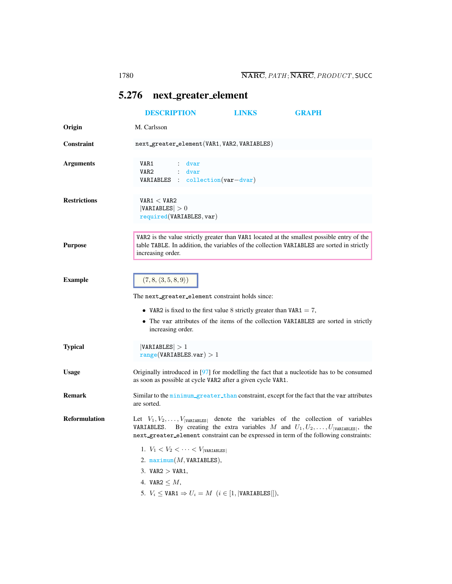## <span id="page-0-0"></span>5.276 next greater element

|                      | <b>DESCRIPTION</b>                                                                         | <b>LINKS</b> | <b>GRAPH</b>                                                                                                                                                                                                                                                                          |
|----------------------|--------------------------------------------------------------------------------------------|--------------|---------------------------------------------------------------------------------------------------------------------------------------------------------------------------------------------------------------------------------------------------------------------------------------|
| Origin               | M. Carlsson                                                                                |              |                                                                                                                                                                                                                                                                                       |
| Constraint           | next_greater_element(VAR1, VAR2, VARIABLES)                                                |              |                                                                                                                                                                                                                                                                                       |
| <b>Arguments</b>     | VAR1<br>: dvar<br>VAR <sub>2</sub><br>: dvar<br><b>VARIABLES</b> : collection $(var-dvar)$ |              |                                                                                                                                                                                                                                                                                       |
| <b>Restrictions</b>  | VAR1 < VAR2<br> VARIABLES  > 0<br>required(VARIABLES, var)                                 |              |                                                                                                                                                                                                                                                                                       |
| <b>Purpose</b>       | increasing order.                                                                          |              | VAR2 is the value strictly greater than VAR1 located at the smallest possible entry of the<br>table TABLE. In addition, the variables of the collection VARIABLES are sorted in strictly                                                                                              |
| <b>Example</b>       | $(7, 8, \langle 3, 5, 8, 9 \rangle)$                                                       |              |                                                                                                                                                                                                                                                                                       |
|                      | The next greater element constraint holds since:                                           |              |                                                                                                                                                                                                                                                                                       |
|                      | • VAR2 is fixed to the first value 8 strictly greater than VAR1 = 7,<br>increasing order.  |              | • The var attributes of the items of the collection VARIABLES are sorted in strictly                                                                                                                                                                                                  |
| <b>Typical</b>       | VARIABLES  > 1<br>range(VARIABLES.var) > 1                                                 |              |                                                                                                                                                                                                                                                                                       |
| <b>Usage</b>         | as soon as possible at cycle VAR2 after a given cycle VAR1.                                |              | Originally introduced in $[97]$ for modelling the fact that a nucleotide has to be consumed                                                                                                                                                                                           |
| <b>Remark</b>        | are sorted.                                                                                |              | Similar to the minimum greater than constraint, except for the fact that the var attributes                                                                                                                                                                                           |
| <b>Reformulation</b> | VARIABLES.                                                                                 |              | Let $V_1, V_2, \ldots, V_{\text{VARTABLES}}$ denote the variables of the collection of variables<br>By creating the extra variables M and $U_1, U_2, \ldots, U_{ V \text{ARIABLES} }$ , the<br>next_greater_element constraint can be expressed in term of the following constraints: |
|                      | 1. $V_1 < V_2 < \cdots < V_{\text{[variaelles]}}$                                          |              |                                                                                                                                                                                                                                                                                       |
|                      | 2. $maximum(M, VARIABLES),$                                                                |              |                                                                                                                                                                                                                                                                                       |
|                      | 3. VAR $2 >$ VAR1.                                                                         |              |                                                                                                                                                                                                                                                                                       |
|                      | 4. VAR2 $\leq M$ ,                                                                         |              |                                                                                                                                                                                                                                                                                       |
|                      | 5. $V_i \leq \texttt{VAR1} \Rightarrow U_i = M \ (i \in [1,  \texttt{VARIABLES} ]),$       |              |                                                                                                                                                                                                                                                                                       |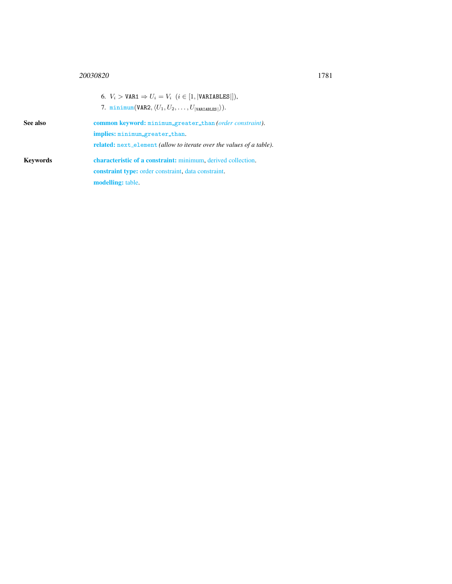## <sup>20030820</sup> 1781

<span id="page-1-0"></span>

|                 | 6. $V_i > \texttt{VAR1} \Rightarrow U_i = V_i$ $(i \in [1,  \texttt{VARIABLES} ]),$<br>7. minimum(VAR2, $\langle U_1, U_2, \ldots, U_{\text{VARIABLES}} \rangle$ ). |  |  |
|-----------------|---------------------------------------------------------------------------------------------------------------------------------------------------------------------|--|--|
| See also        | <b>common keyword:</b> minimum_greater_than (order constraint).                                                                                                     |  |  |
|                 | implies: minimum_greater_than.                                                                                                                                      |  |  |
|                 | <b>related:</b> next_element (allow to iterate over the values of a table).                                                                                         |  |  |
| <b>Keywords</b> | characteristic of a constraint: minimum, derived collection.                                                                                                        |  |  |
|                 | <b>constraint type:</b> order constraint, data constraint.                                                                                                          |  |  |
|                 | <b>modelling:</b> table.                                                                                                                                            |  |  |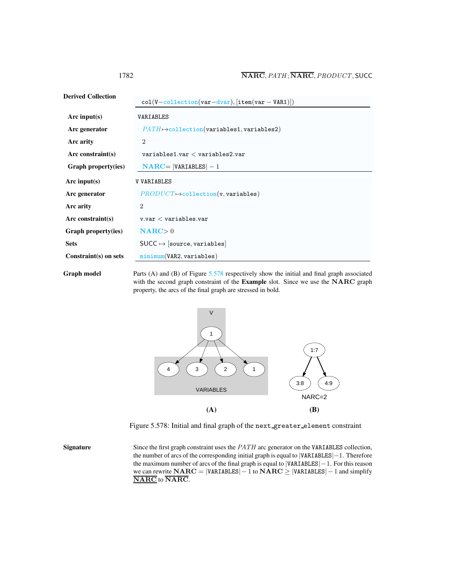| <b>Derived Collection</b> | $col(V-collection(var-dvar), [item(var-VAR1)])$       |  |
|---------------------------|-------------------------------------------------------|--|
| Arc input(s)              | VARIABLES                                             |  |
| Arc generator             | $PATH \rightarrow collection(variables1, variables2)$ |  |
| Arc arity                 | $\overline{2}$                                        |  |
| Arc constraint $(s)$      | $variable$ s1.var $<$ variables2.var                  |  |
| Graph property(ies)       | $NARC =  VARIABLES  - 1$                              |  |
| Arc input( $s$ )          | <b>V VARIABLES</b>                                    |  |
| Arc generator             | $PRODUCT \mapsto$ collection(v, variables)            |  |
| Arc arity                 | $\mathcal{D}_{\mathcal{L}}$                           |  |
| Arc constraint(s)         | $v.var <$ variables.var                               |  |
| Graph property(ies)       | $NARC > 0$                                            |  |
| <b>Sets</b>               | $SUCC \mapsto$ [source, variables]                    |  |
| Constraint(s) on sets     | minimum(VAR2, variable)                               |  |
|                           |                                                       |  |

Graph model Parts (A) and (B) of Figure [5.578](#page-2-1) respectively show the initial and final graph associated with the second graph constraint of the Example slot. Since we use the NARC graph property, the arcs of the final graph are stressed in bold.



<span id="page-2-1"></span>Figure 5.578: Initial and final graph of the next greater element constraint

Signature Since the first graph constraint uses the *PATH* arc generator on the VARIABLES collection, the number of arcs of the corresponding initial graph is equal to |VARIABLES|−1. Therefore the maximum number of arcs of the final graph is equal to |VARIABLES|−1. For this reason we can rewrite  $NARC = |VARIABLES| - 1$  to  $NARC \ge |VARIABLES| - 1$  and simplify NARC to NARC.

<span id="page-2-0"></span>